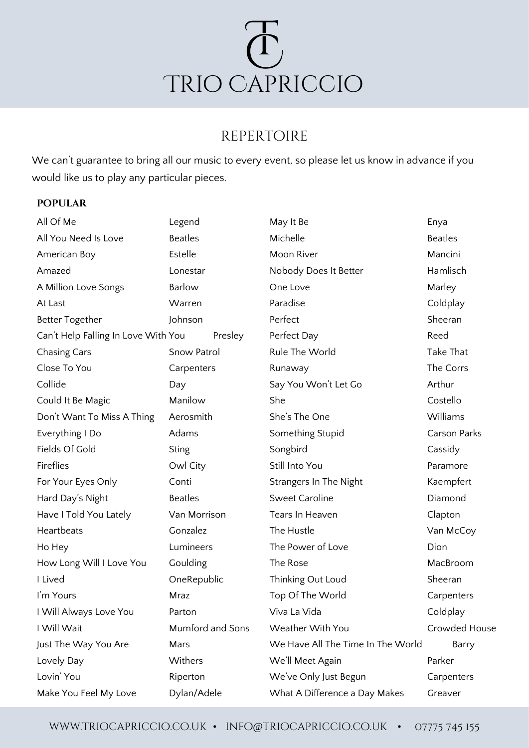

# repertoire

 $\overline{\phantom{a}}$ 

We can't guarantee to bring all our music to every event, so please let us know in advance if you would like us to play any particular pieces.

# **popular**

| All Of Me                           | Legend           | May It Be                         | Enya           |  |
|-------------------------------------|------------------|-----------------------------------|----------------|--|
| All You Need Is Love                | <b>Beatles</b>   | Michelle                          | <b>Beatles</b> |  |
| American Boy                        | Estelle          | Moon River                        | Mancini        |  |
| Amazed                              | Lonestar         | Nobody Does It Better             | Hamlisch       |  |
| A Million Love Songs                | Barlow           | One Love                          | Marley         |  |
| At Last                             | Warren           | Paradise                          | Coldplay       |  |
| <b>Better Together</b>              | Johnson          | Perfect                           | Sheeran        |  |
| Can't Help Falling In Love With You | Presley          | Perfect Day                       | Reed           |  |
| <b>Chasing Cars</b>                 | Snow Patrol      | Rule The World                    | Take That      |  |
| Close To You                        | Carpenters       | Runaway                           | The Corrs      |  |
| Collide                             | Day              | Say You Won't Let Go              | Arthur         |  |
| Could It Be Magic                   | Manilow          | She                               | Costello       |  |
| Don't Want To Miss A Thing          | Aerosmith        | She's The One                     | Williams       |  |
| Everything I Do                     | Adams            | Something Stupid                  | Carson Parks   |  |
| Fields Of Gold                      | <b>Sting</b>     | Songbird                          | Cassidy        |  |
| Fireflies                           | Owl City         | Still Into You                    | Paramore       |  |
| For Your Eyes Only                  | Conti            | Strangers In The Night            | Kaempfert      |  |
| Hard Day's Night                    | <b>Beatles</b>   | <b>Sweet Caroline</b>             | Diamond        |  |
| Have I Told You Lately              | Van Morrison     | Tears In Heaven                   | Clapton        |  |
| Heartbeats                          | Gonzalez         | The Hustle                        | Van McCoy      |  |
| Ho Hey                              | Lumineers        | The Power of Love                 | Dion           |  |
| How Long Will I Love You            | Goulding         | The Rose                          | MacBroom       |  |
| I Lived                             | OneRepublic      | Thinking Out Loud                 | Sheeran        |  |
| I'm Yours                           | Mraz             | Top Of The World                  | Carpenters     |  |
| I Will Always Love You              | Parton           | Viva La Vida                      | Coldplay       |  |
| I Will Wait                         | Mumford and Sons | Weather With You                  | Crowded House  |  |
| Just The Way You Are                | Mars             | We Have All The Time In The World | Barry          |  |
| Lovely Day                          | Withers          | We'll Meet Again                  | Parker         |  |
| Lovin' You                          | Riperton         | We've Only Just Begun             | Carpenters     |  |
| Make You Feel My Love               | Dylan/Adele      | What A Difference a Day Makes     | Greaver        |  |
|                                     |                  |                                   |                |  |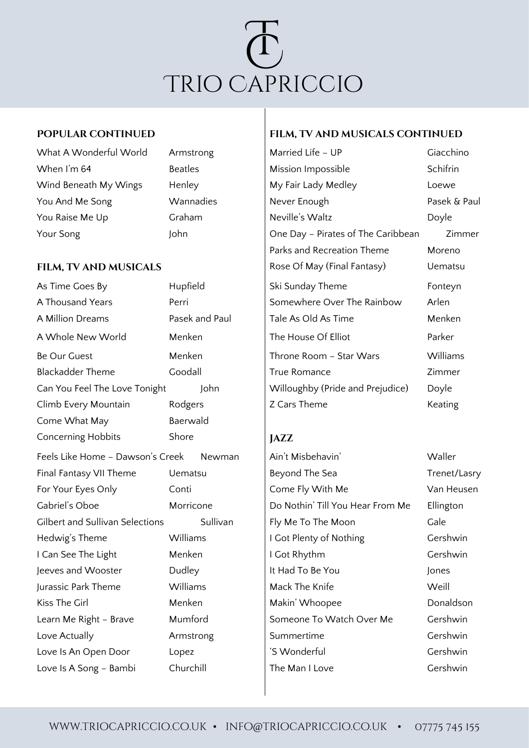

| What A Wonderful World |
|------------------------|
| When I'm 64            |
| Wind Beneath My Wings  |
| You And Me Song        |
| You Raise Me Up        |
| Your Song              |

| As Time Goes By                            | Hupfield       | Ski Sunday Theme                 | Fonteyn   |
|--------------------------------------------|----------------|----------------------------------|-----------|
| A Thousand Years                           | Perri          | Somewhere Over The Rainbow       | Arlen     |
| A Million Dreams                           | Pasek and Paul | Tale As Old As Time              | Menken    |
| A Whole New World                          | Menken         | The House Of Elliot              | Parker    |
| Be Our Guest                               | Menken         | Throne Room - Star Wars          | Williams  |
| <b>Blackadder Theme</b>                    | Goodall        | True Romance                     | Zimmer    |
| Can You Feel The Love Tonight              | John           | Willoughby (Pride and Prejudice) | Doyle     |
| Climb Every Mountain                       | Rodgers        | Z Cars Theme                     | Keating   |
| Come What May                              | Baerwald       |                                  |           |
| Concerning Hobbits                         | Shore          | <b>JAZZ</b>                      |           |
| Feels Like Home - Dawson's Creek<br>Newman |                | Ain't Misbehavin'                | Waller    |
| Final Fantasy VII Theme                    | <b>Uematsu</b> | Beyond The Sea                   | Trenet/La |
| For Your Eyes Only                         | Conti          | Come Fly With Me                 | Van Heus  |
| Gabriel's Oboe                             | Morricone      | Do Nothin' Till You Hear From Me | Ellington |
| <b>Gilbert and Sullivan Selections</b>     | Sullivan       | Fly Me To The Moon               | Gale      |
| Hedwig's Theme                             | Williams       | I Got Plenty of Nothing          | Gershwin  |
| I Can See The Light                        | Menken         | I Got Rhythm                     | Gershwin  |
| Jeeves and Wooster                         | Dudley         | It Had To Be You                 | Jones     |
| Jurassic Park Theme                        | Williams       | Mack The Knife                   | Weill     |
| Kiss The Girl                              | Menken         | Makin' Whoopee                   | Donaldso  |
| Learn Me Right - Brave                     | Mumford        | Someone To Watch Over Me         | Gershwin  |
| Love Actually                              | Armstrong      | Summertime                       | Gershwin  |
| Love Is An Open Door                       | Lopez          | 'S Wonderful                     | Gershwin  |
| Love Is A Song - Bambi                     | Churchill      | The Man I Love                   | Gershwin  |

### **Popular continued film, tv and musicals continued**

Armstrong Married Life – UP Giacchino Beatles Mission Impossible Schifrin Henley My Fair Lady Medley Loewe Wannadies Never Enough Never Enough Pasek & Paul Graham Neville's Waltz Neville Doyle John John John John John John Day – Pirates of The Caribbean Zimmer Parks and Recreation Theme **Moreno FILM, TV AND MUSICALS** Rose Of May (Final Fantasy) Uematsu Ski Sunday Theme Fonteyn Somewhere Over The Rainbow Arlen Tale As Old As Time Menken The House Of Elliot **Parker** Be Our Guest Menken Throne Room – Star Wars Williams True Romance Zimmer Willoughby (Pride and Prejudice) Doyle Z Cars Theme Keating

Ain't Misbehavin' Maller Beyond The Sea Trenet/Lasry Come Fly With Me Van Heusen Do Nothin' Till You Hear From Me Ellington Fly Me To The Moon Gale I Got Plenty of Nothing Gershwin I Got Rhythm Gershwin It Had To Be You Jones Mack The Knife Weill Makin' Whoopee Donaldson Someone To Watch Over Me Gershwin Summertime Gershwin The Man I Love **Constanting Construction**